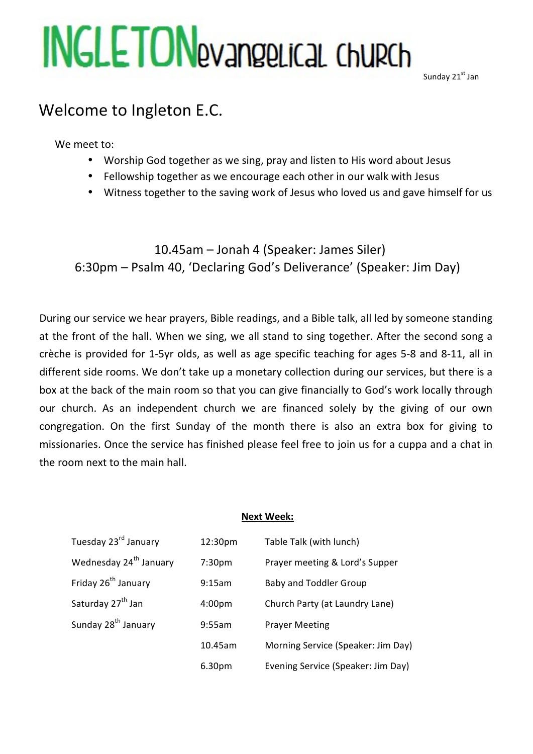# **INGLETON**evangelical Church

Sunday 21<sup>st</sup> Jan

## Welcome to Ingleton E.C.

We meet to:

- Worship God together as we sing, pray and listen to His word about Jesus
- Fellowship together as we encourage each other in our walk with Jesus
- Witness together to the saving work of Jesus who loved us and gave himself for us

10.45am – Jonah 4 (Speaker: James Siler) 6:30pm - Psalm 40, 'Declaring God's Deliverance' (Speaker: Jim Day)

During our service we hear prayers, Bible readings, and a Bible talk, all led by someone standing at the front of the hall. When we sing, we all stand to sing together. After the second song a crèche is provided for 1-5yr olds, as well as age specific teaching for ages 5-8 and 8-11, all in different side rooms. We don't take up a monetary collection during our services, but there is a box at the back of the main room so that you can give financially to God's work locally through our church. As an independent church we are financed solely by the giving of our own congregation. On the first Sunday of the month there is also an extra box for giving to missionaries. Once the service has finished please feel free to join us for a cuppa and a chat in the room next to the main hall.

#### **Next Week:**

| Tuesday 23 <sup>rd</sup> January   | 12:30pm            | Table Talk (with lunch)            |
|------------------------------------|--------------------|------------------------------------|
| Wednesday 24 <sup>th</sup> January | 7:30 <sub>pm</sub> | Prayer meeting & Lord's Supper     |
| Friday 26 <sup>th</sup> January    | 9:15am             | <b>Baby and Toddler Group</b>      |
| Saturday 27 <sup>th</sup> Jan      | 4:00 <sub>pm</sub> | Church Party (at Laundry Lane)     |
| Sunday 28 <sup>th</sup> January    | 9:55am             | <b>Prayer Meeting</b>              |
|                                    | 10.45am            | Morning Service (Speaker: Jim Day) |
|                                    | 6.30pm             | Evening Service (Speaker: Jim Day) |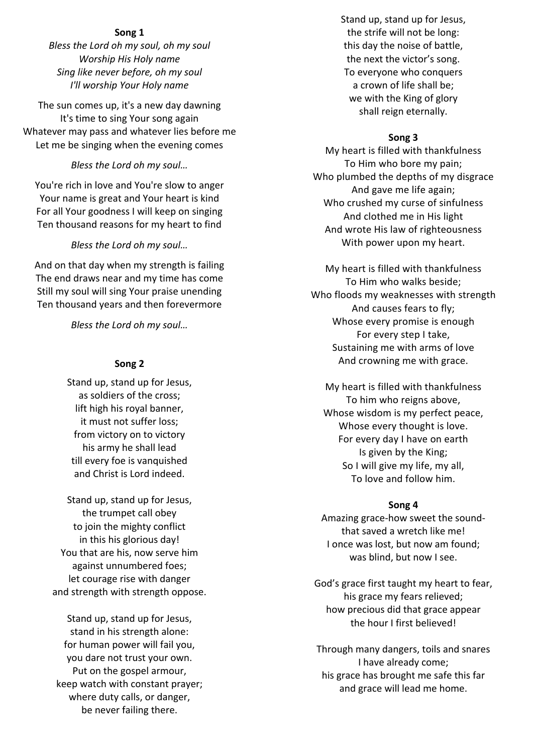#### **Song 1**

*Bless the Lord oh my soul, oh my soul Worship His Holy name Sing like never before, oh my soul <i>I'll* worship Your Holy name

The sun comes up, it's a new day dawning It's time to sing Your song again Whatever may pass and whatever lies before me Let me be singing when the evening comes

*Bless the Lord oh my soul...* 

You're rich in love and You're slow to anger Your name is great and Your heart is kind For all Your goodness I will keep on singing Ten thousand reasons for my heart to find

*Bless the Lord oh my soul...* 

And on that day when my strength is failing The end draws near and my time has come Still my soul will sing Your praise unending Ten thousand years and then forevermore

*Bless the Lord oh my soul...* 

#### **Song 2**

Stand up, stand up for Jesus, as soldiers of the cross; lift high his royal banner. it must not suffer loss; from victory on to victory his army he shall lead till every foe is vanquished and Christ is Lord indeed.

Stand up, stand up for Jesus, the trumpet call obey to join the mighty conflict in this his glorious day! You that are his, now serve him against unnumbered foes; let courage rise with danger and strength with strength oppose.

Stand up, stand up for Jesus, stand in his strength alone: for human power will fail you, you dare not trust your own. Put on the gospel armour, keep watch with constant prayer; where duty calls, or danger, be never failing there.

Stand up, stand up for Jesus, the strife will not be long: this day the noise of battle. the next the victor's song. To everyone who conquers a crown of life shall be: we with the King of glory shall reign eternally.

#### **Song 3**

My heart is filled with thankfulness To Him who bore my pain; Who plumbed the depths of my disgrace And gave me life again; Who crushed my curse of sinfulness And clothed me in His light And wrote His law of righteousness With power upon my heart.

My heart is filled with thankfulness To Him who walks beside; Who floods my weaknesses with strength And causes fears to fly; Whose every promise is enough For every step I take, Sustaining me with arms of love And crowning me with grace.

My heart is filled with thankfulness To him who reigns above, Whose wisdom is my perfect peace, Whose every thought is love. For every day I have on earth Is given by the King; So I will give my life, my all, To love and follow him.

#### **Song 4**

Amazing grace-how sweet the soundthat saved a wretch like me! I once was lost, but now am found; was blind, but now I see.

God's grace first taught my heart to fear, his grace my fears relieved; how precious did that grace appear the hour I first believed!

Through many dangers, toils and snares I have already come; his grace has brought me safe this far and grace will lead me home.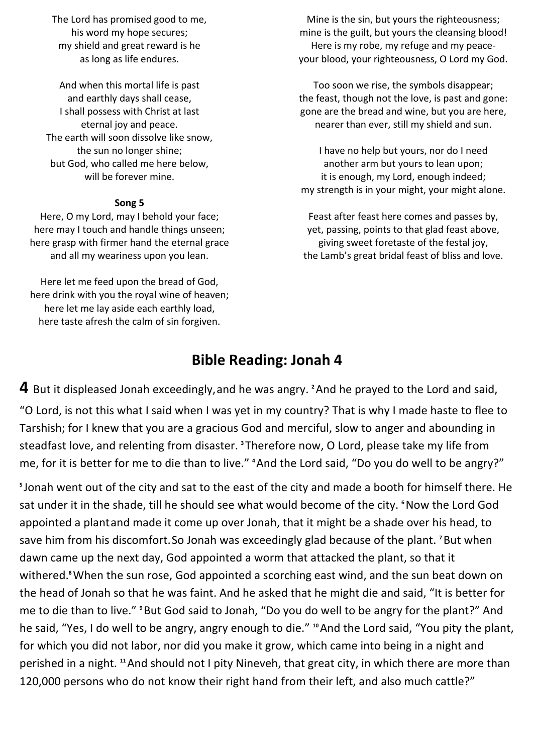The Lord has promised good to me, his word my hope secures; my shield and great reward is he as long as life endures.

And when this mortal life is past and earthly days shall cease, I shall possess with Christ at last eternal joy and peace. The earth will soon dissolve like snow, the sun no longer shine; but God, who called me here below, will be forever mine.

#### **Song 5**

Here, O my Lord, may I behold your face; here may I touch and handle things unseen; here grasp with firmer hand the eternal grace and all my weariness upon you lean.

Here let me feed upon the bread of God, here drink with you the royal wine of heaven; here let me lay aside each earthly load, here taste afresh the calm of sin forgiven.

Mine is the sin, but yours the righteousness; mine is the guilt, but yours the cleansing blood! Here is my robe, my refuge and my peaceyour blood, your righteousness, O Lord my God.

Too soon we rise, the symbols disappear; the feast, though not the love, is past and gone: gone are the bread and wine, but you are here, nearer than ever, still my shield and sun.

I have no help but yours, nor do I need another arm but yours to lean upon; it is enough, my Lord, enough indeed; my strength is in your might, your might alone.

Feast after feast here comes and passes by, yet, passing, points to that glad feast above, giving sweet foretaste of the festal joy, the Lamb's great bridal feast of bliss and love.

### **Bible Reading: Jonah 4**

**4** But it displeased Jonah exceedingly, and he was angry. <sup>2</sup> And he prayed to the Lord and said, "O Lord, is not this what I said when I was yet in my country? That is why I made haste to flee to Tarshish; for I knew that you are a gracious God and merciful, slow to anger and abounding in steadfast love, and relenting from disaster. <sup>3</sup>Therefore now, O Lord, please take my life from me, for it is better for me to die than to live." <sup>4</sup> And the Lord said, "Do you do well to be angry?"

<sup>5</sup> Jonah went out of the city and sat to the east of the city and made a booth for himself there. He sat under it in the shade, till he should see what would become of the city. *Mow* the Lord God appointed a plantand made it come up over Jonah, that it might be a shade over his head, to save him from his discomfort. So Jonah was exceedingly glad because of the plant. <sup>7</sup> But when dawn came up the next day, God appointed a worm that attacked the plant, so that it withered.<sup>8</sup> When the sun rose, God appointed a scorching east wind, and the sun beat down on the head of Jonah so that he was faint. And he asked that he might die and said, "It is better for me to die than to live." <sup>9</sup> But God said to Jonah, "Do you do well to be angry for the plant?" And he said, "Yes, I do well to be angry, angry enough to die." <sup>10</sup>And the Lord said, "You pity the plant, for which you did not labor, nor did you make it grow, which came into being in a night and perished in a night. <sup>11</sup>And should not I pity Nineveh, that great city, in which there are more than 120,000 persons who do not know their right hand from their left, and also much cattle?"